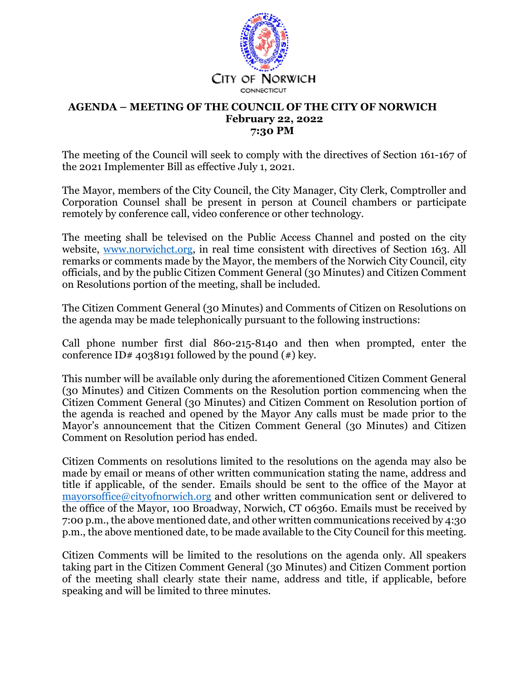

## **AGENDA – MEETING OF THE COUNCIL OF THE CITY OF NORWICH February 22, 2022 7:30 PM**

The meeting of the Council will seek to comply with the directives of Section 161-167 of the 2021 Implementer Bill as effective July 1, 2021.

The Mayor, members of the City Council, the City Manager, City Clerk, Comptroller and Corporation Counsel shall be present in person at Council chambers or participate remotely by conference call, video conference or other technology.

The meeting shall be televised on the Public Access Channel and posted on the city website, www.norwichct.org, in real time consistent with directives of Section 163. All remarks or comments made by the Mayor, the members of the Norwich City Council, city officials, and by the public Citizen Comment General (30 Minutes) and Citizen Comment on Resolutions portion of the meeting, shall be included.

The Citizen Comment General (30 Minutes) and Comments of Citizen on Resolutions on the agenda may be made telephonically pursuant to the following instructions:

Call phone number first dial 860-215-8140 and then when prompted, enter the conference ID# 4038191 followed by the pound  $(*)$  key.

This number will be available only during the aforementioned Citizen Comment General (30 Minutes) and Citizen Comments on the Resolution portion commencing when the Citizen Comment General (30 Minutes) and Citizen Comment on Resolution portion of the agenda is reached and opened by the Mayor Any calls must be made prior to the Mayor's announcement that the Citizen Comment General (30 Minutes) and Citizen Comment on Resolution period has ended.

Citizen Comments on resolutions limited to the resolutions on the agenda may also be made by email or means of other written communication stating the name, address and title if applicable, of the sender. Emails should be sent to the office of the Mayor at mayorsoffice@cityofnorwich.org and other written communication sent or delivered to the office of the Mayor, 100 Broadway, Norwich, CT 06360. Emails must be received by 7:00 p.m., the above mentioned date, and other written communications received by 4:30 p.m., the above mentioned date, to be made available to the City Council for this meeting.

Citizen Comments will be limited to the resolutions on the agenda only. All speakers taking part in the Citizen Comment General (30 Minutes) and Citizen Comment portion of the meeting shall clearly state their name, address and title, if applicable, before speaking and will be limited to three minutes.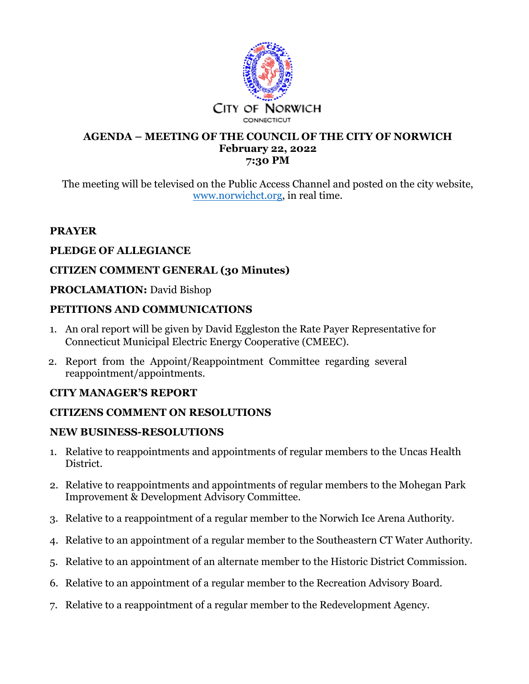

### **AGENDA – MEETING OF THE COUNCIL OF THE CITY OF NORWICH February 22, 2022 7:30 PM**

The meeting will be televised on the Public Access Channel and posted on the city website, www.norwichct.org, in real time.

# **PRAYER**

# **PLEDGE OF ALLEGIANCE**

# **CITIZEN COMMENT GENERAL (30 Minutes)**

## **PROCLAMATION:** David Bishop

# **PETITIONS AND COMMUNICATIONS**

- 1. An oral report will be given by David Eggleston the Rate Payer Representative for Connecticut Municipal Electric Energy Cooperative (CMEEC).
- 2. Report from the Appoint/Reappointment Committee regarding several reappointment/appointments.

# **CITY MANAGER'S REPORT**

# **CITIZENS COMMENT ON RESOLUTIONS**

# **NEW BUSINESS-RESOLUTIONS**

- 1. Relative to reappointments and appointments of regular members to the Uncas Health District.
- 2. Relative to reappointments and appointments of regular members to the Mohegan Park Improvement & Development Advisory Committee.
- 3. Relative to a reappointment of a regular member to the Norwich Ice Arena Authority.
- 4. Relative to an appointment of a regular member to the Southeastern CT Water Authority.
- 5. Relative to an appointment of an alternate member to the Historic District Commission.
- 6. Relative to an appointment of a regular member to the Recreation Advisory Board.
- 7. Relative to a reappointment of a regular member to the Redevelopment Agency.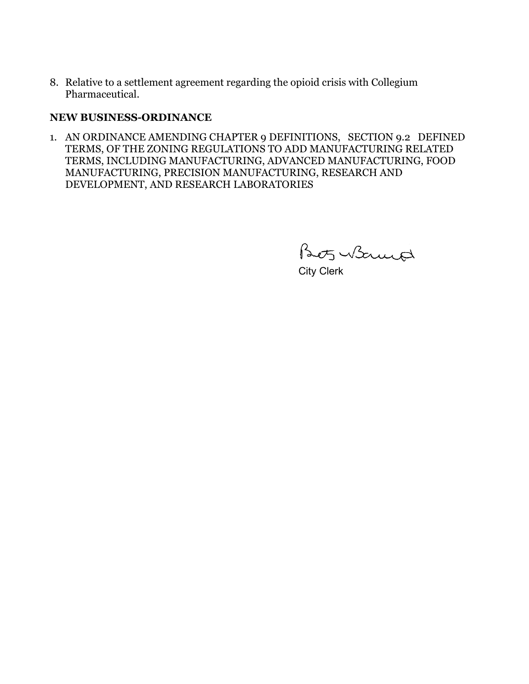8. Relative to a settlement agreement regarding the opioid crisis with Collegium Pharmaceutical.

### **NEW BUSINESS-ORDINANCE**

1. AN ORDINANCE AMENDING CHAPTER 9 DEFINITIONS, SECTION 9.2 DEFINED TERMS, OF THE ZONING REGULATIONS TO ADD MANUFACTURING RELATED TERMS, INCLUDING MANUFACTURING, ADVANCED MANUFACTURING, FOOD MANUFACTURING, PRECISION MANUFACTURING, RESEARCH AND DEVELOPMENT, AND RESEARCH LABORATORIES

Beots Warned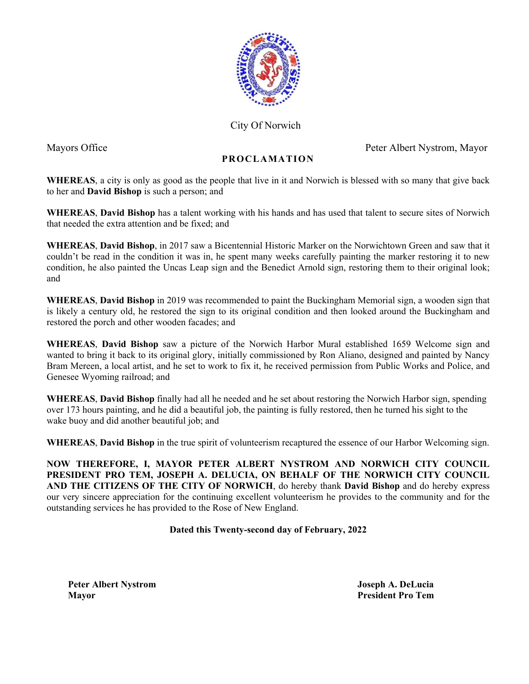

City Of Norwich

Mayors Office Peter Albert Nystrom, Mayor

# **PROCLAMATION**

**WHEREAS**, a city is only as good as the people that live in it and Norwich is blessed with so many that give back to her and **David Bishop** is such a person; and

**WHEREAS**, **David Bishop** has a talent working with his hands and has used that talent to secure sites of Norwich that needed the extra attention and be fixed; and

**WHEREAS**, **David Bishop**, in 2017 saw a Bicentennial Historic Marker on the Norwichtown Green and saw that it couldn't be read in the condition it was in, he spent many weeks carefully painting the marker restoring it to new condition, he also painted the Uncas Leap sign and the Benedict Arnold sign, restoring them to their original look; and

**WHEREAS**, **David Bishop** in 2019 was recommended to paint the Buckingham Memorial sign, a wooden sign that is likely a century old, he restored the sign to its original condition and then looked around the Buckingham and restored the porch and other wooden facades; and

**WHEREAS**, **David Bishop** saw a picture of the Norwich Harbor Mural established 1659 Welcome sign and wanted to bring it back to its original glory, initially commissioned by Ron Aliano, designed and painted by Nancy Bram Mereen, a local artist, and he set to work to fix it, he received permission from Public Works and Police, and Genesee Wyoming railroad; and

**WHEREAS**, **David Bishop** finally had all he needed and he set about restoring the Norwich Harbor sign, spending over 173 hours painting, and he did a beautiful job, the painting is fully restored, then he turned his sight to the wake buoy and did another beautiful job; and

**WHEREAS**, **David Bishop** in the true spirit of volunteerism recaptured the essence of our Harbor Welcoming sign.

**NOW THEREFORE, I, MAYOR PETER ALBERT NYSTROM AND NORWICH CITY COUNCIL PRESIDENT PRO TEM, JOSEPH A. DELUCIA, ON BEHALF OF THE NORWICH CITY COUNCIL AND THE CITIZENS OF THE CITY OF NORWICH**, do hereby thank **David Bishop** and do hereby express our very sincere appreciation for the continuing excellent volunteerism he provides to the community and for the outstanding services he has provided to the Rose of New England.

## **Dated this Twenty-second day of February, 2022**

 **Peter Albert Nystrom Joseph A. DeLucia Mayor President Pro Tem**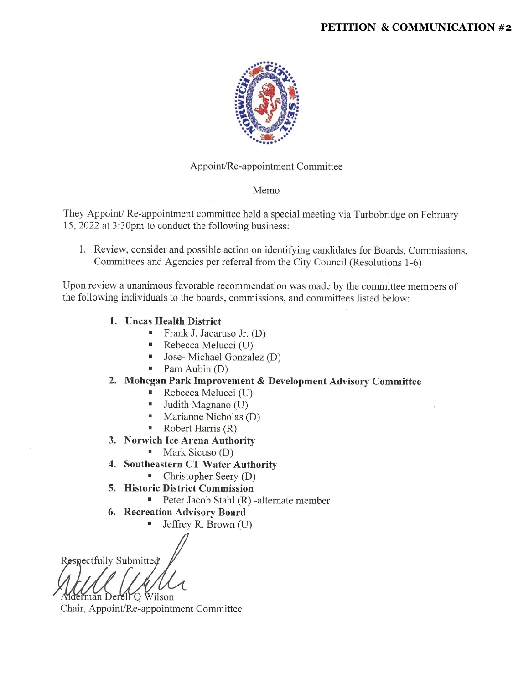#### **PETITION & COMMUNICATION #2**



#### Appoint/Re-appointment Committee

#### Memo

They Appoint/Re-appointment committee held a special meeting via Turbobridge on February 15, 2022 at 3:30pm to conduct the following business:

1. Review, consider and possible action on identifying candidates for Boards, Commissions, Committees and Agencies per referral from the City Council (Resolutions 1-6)

Upon review a unanimous favorable recommendation was made by the committee members of the following individuals to the boards, commissions, and committees listed below:

- 1. Uncas Health District
	- Frank J. Jacaruso Jr.  $(D)$
	- Rebecca Melucci (U)
	- Jose-Michael Gonzalez (D)
	- $\blacksquare$  Pam Aubin (D)

### 2. Mohegan Park Improvement & Development Advisory Committee

- Rebecca Melucci (U)
- $\blacksquare$  Judith Magnano (U)
- $Mariance$  Marianne Nicholas (D)
- Robert Harris  $(R)$
- 3. Norwich Ice Arena Authority
	- Mark Sicuso (D)
- 4. Southeastern CT Water Authority
	- $\blacksquare$  Christopher Seery (D)
- 5. Historic District Commission
	- Peter Jacob Stahl  $(R)$  -alternate member
- 6. Recreation Advisory Board
	- Jeffrey R. Brown (U)

Respectfully Submitted

man Derell O Wilson

Chair, Appoint/Re-appointment Committee

u,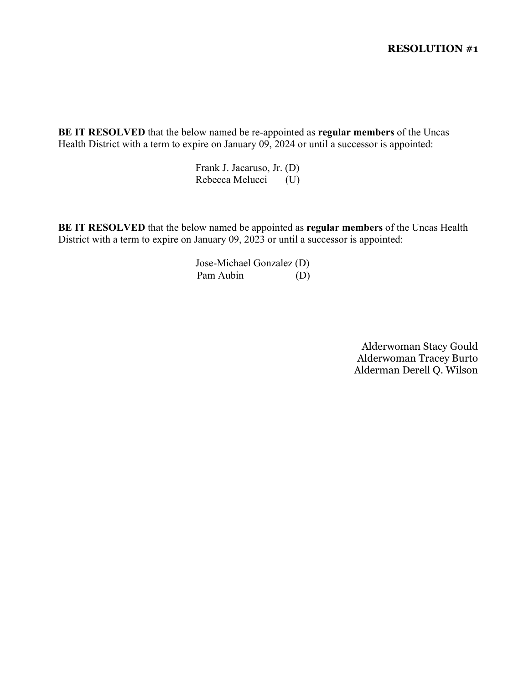**BE IT RESOLVED** that the below named be re-appointed as **regular members** of the Uncas Health District with a term to expire on January 09, 2024 or until a successor is appointed:

> Frank J. Jacaruso, Jr. (D) Rebecca Melucci (U)

**BE IT RESOLVED** that the below named be appointed as **regular members** of the Uncas Health District with a term to expire on January 09, 2023 or until a successor is appointed:

> Jose-Michael Gonzalez (D) Pam Aubin (D)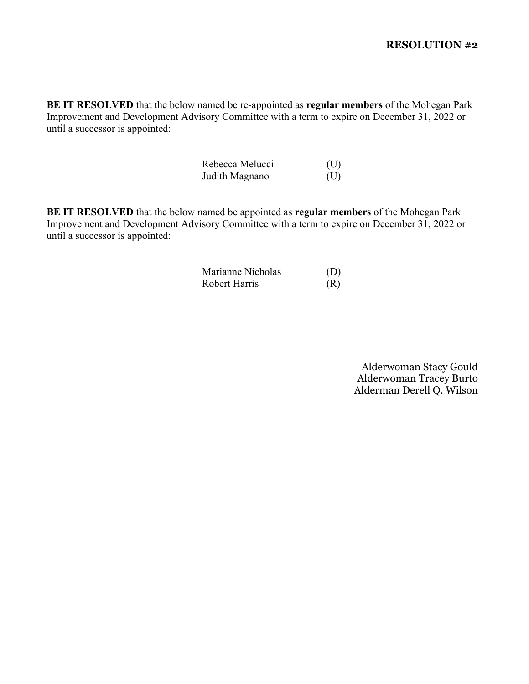**BE IT RESOLVED** that the below named be re-appointed as **regular members** of the Mohegan Park Improvement and Development Advisory Committee with a term to expire on December 31, 2022 or until a successor is appointed:

| Rebecca Melucci | (U) |
|-----------------|-----|
| Judith Magnano  | (U) |

**BE IT RESOLVED** that the below named be appointed as **regular members** of the Mohegan Park Improvement and Development Advisory Committee with a term to expire on December 31, 2022 or until a successor is appointed:

| Marianne Nicholas | (D) |
|-------------------|-----|
| Robert Harris     | (R) |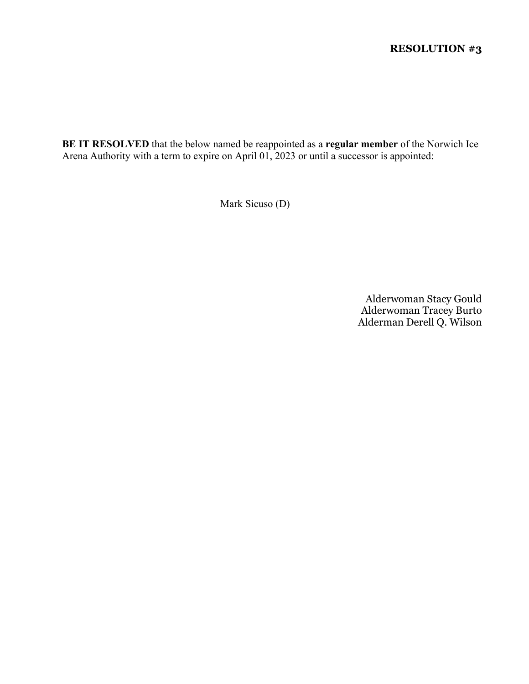**BE IT RESOLVED** that the below named be reappointed as a **regular member** of the Norwich Ice Arena Authority with a term to expire on April 01, 2023 or until a successor is appointed:

Mark Sicuso (D)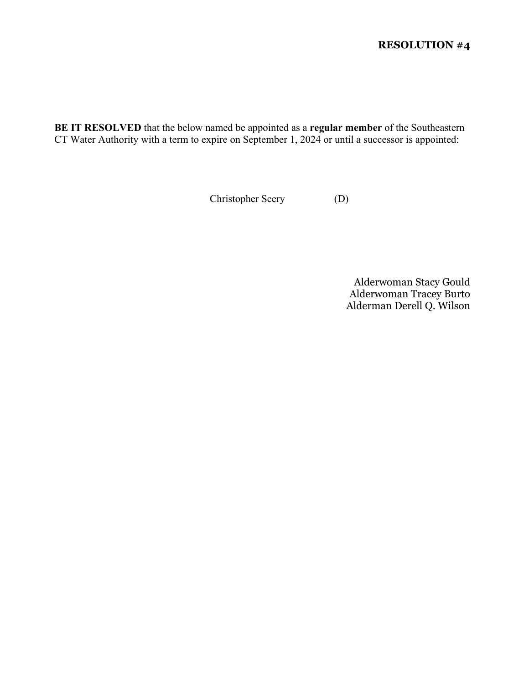**BE IT RESOLVED** that the below named be appointed as a **regular member** of the Southeastern CT Water Authority with a term to expire on September 1, 2024 or until a successor is appointed:

Christopher Seery (D)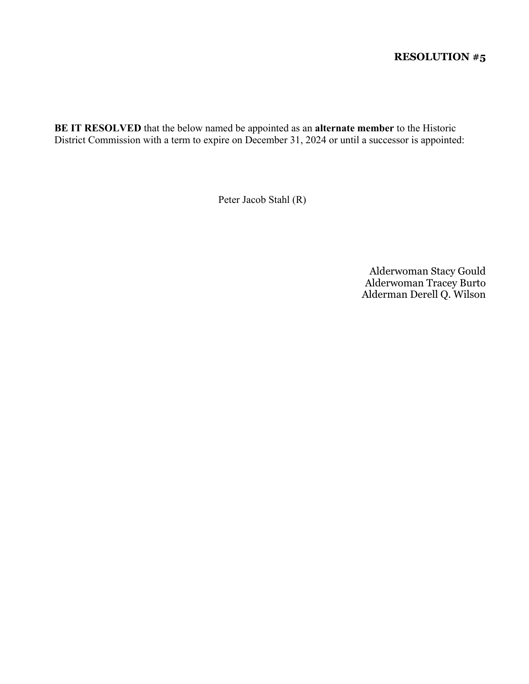**BE IT RESOLVED** that the below named be appointed as an **alternate member** to the Historic District Commission with a term to expire on December 31, 2024 or until a successor is appointed:

Peter Jacob Stahl (R)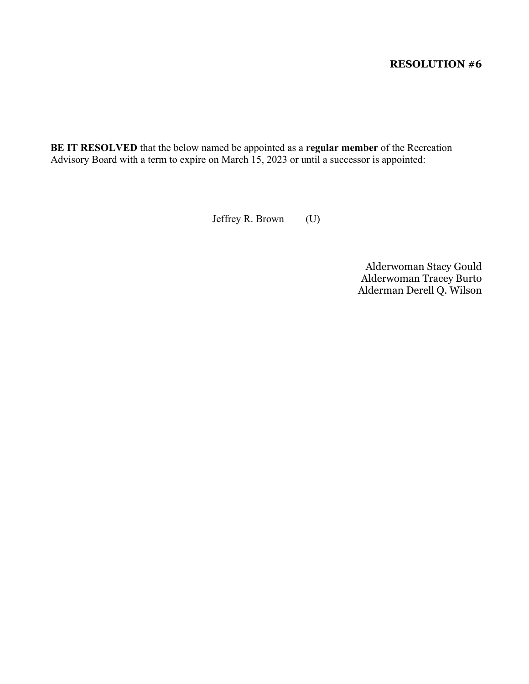**BE IT RESOLVED** that the below named be appointed as a **regular member** of the Recreation Advisory Board with a term to expire on March 15, 2023 or until a successor is appointed:

Jeffrey R. Brown (U)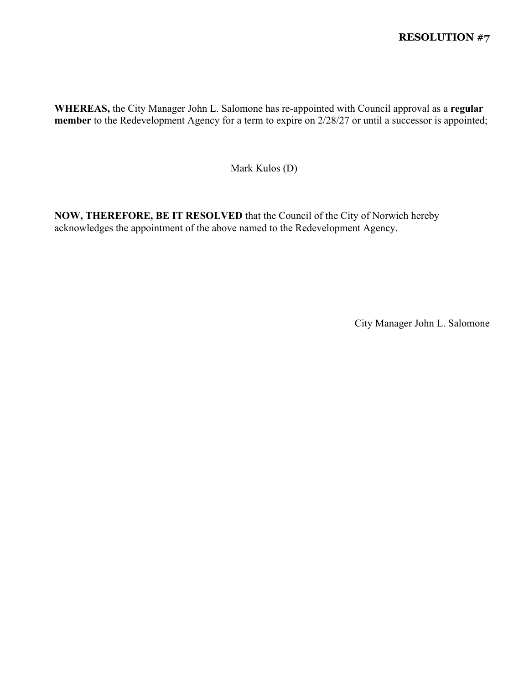**WHEREAS,** the City Manager John L. Salomone has re-appointed with Council approval as a **regular member** to the Redevelopment Agency for a term to expire on 2/28/27 or until a successor is appointed;

Mark Kulos (D)

**NOW, THEREFORE, BE IT RESOLVED** that the Council of the City of Norwich hereby acknowledges the appointment of the above named to the Redevelopment Agency.

City Manager John L. Salomone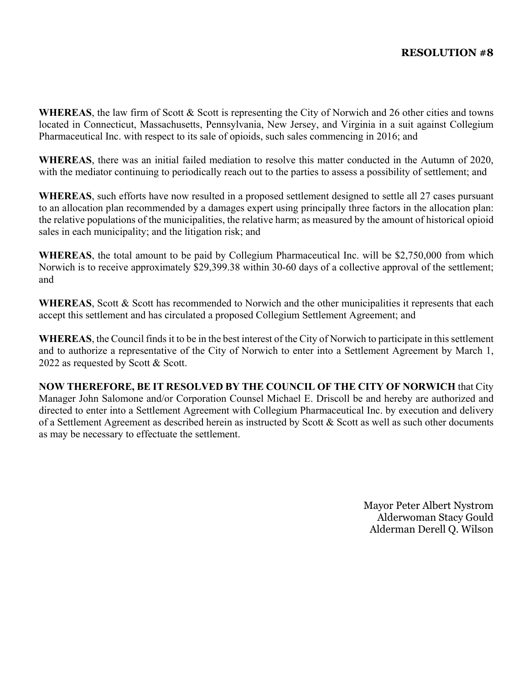WHEREAS, the law firm of Scott & Scott is representing the City of Norwich and 26 other cities and towns located in Connecticut, Massachusetts, Pennsylvania, New Jersey, and Virginia in a suit against Collegium Pharmaceutical Inc. with respect to its sale of opioids, such sales commencing in 2016; and

**WHEREAS**, there was an initial failed mediation to resolve this matter conducted in the Autumn of 2020, with the mediator continuing to periodically reach out to the parties to assess a possibility of settlement; and

**WHEREAS**, such efforts have now resulted in a proposed settlement designed to settle all 27 cases pursuant to an allocation plan recommended by a damages expert using principally three factors in the allocation plan: the relative populations of the municipalities, the relative harm; as measured by the amount of historical opioid sales in each municipality; and the litigation risk; and

**WHEREAS**, the total amount to be paid by Collegium Pharmaceutical Inc. will be \$2,750,000 from which Norwich is to receive approximately \$29,399.38 within 30-60 days of a collective approval of the settlement; and

**WHEREAS**, Scott & Scott has recommended to Norwich and the other municipalities it represents that each accept this settlement and has circulated a proposed Collegium Settlement Agreement; and

**WHEREAS**, the Council finds it to be in the best interest of the City of Norwich to participate in this settlement and to authorize a representative of the City of Norwich to enter into a Settlement Agreement by March 1, 2022 as requested by Scott & Scott.

**NOW THEREFORE, BE IT RESOLVED BY THE COUNCIL OF THE CITY OF NORWICH** that City Manager John Salomone and/or Corporation Counsel Michael E. Driscoll be and hereby are authorized and directed to enter into a Settlement Agreement with Collegium Pharmaceutical Inc. by execution and delivery of a Settlement Agreement as described herein as instructed by Scott & Scott as well as such other documents as may be necessary to effectuate the settlement.

> Mayor Peter Albert Nystrom Alderwoman Stacy Gould Alderman Derell Q. Wilson